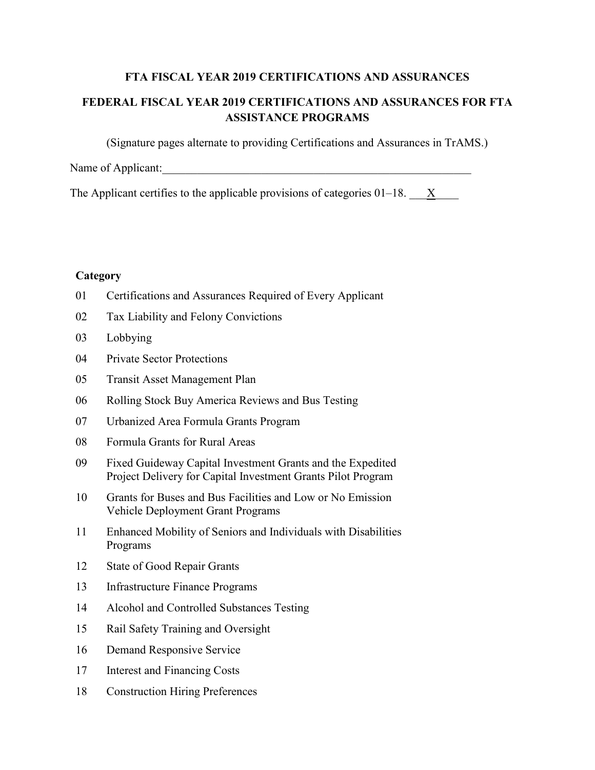### **FTA FISCAL YEAR 2019 CERTIFICATIONS AND ASSURANCES**

# **FEDERAL FISCAL YEAR 2019 CERTIFICATIONS AND ASSURANCES FOR FTA ASSISTANCE PROGRAMS**

(Signature pages alternate to providing Certifications and Assurances in TrAMS.)

Name of Applicant:

The Applicant certifies to the applicable provisions of categories  $01-18$ .  $X$ 

## **Category**

- Certifications and Assurances Required of Every Applicant
- Tax Liability and Felony Convictions
- Lobbying
- Private Sector Protections
- Transit Asset Management Plan
- Rolling Stock Buy America Reviews and Bus Testing
- Urbanized Area Formula Grants Program
- Formula Grants for Rural Areas
- Fixed Guideway Capital Investment Grants and the Expedited Project Delivery for Capital Investment Grants Pilot Program
- Grants for Buses and Bus Facilities and Low or No Emission Vehicle Deployment Grant Programs
- Enhanced Mobility of Seniors and Individuals with Disabilities Programs
- State of Good Repair Grants
- Infrastructure Finance Programs
- Alcohol and Controlled Substances Testing
- Rail Safety Training and Oversight
- Demand Responsive Service
- Interest and Financing Costs
- Construction Hiring Preferences